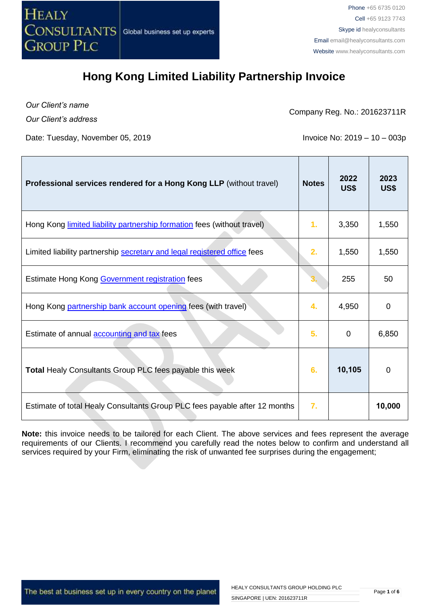

*Our Client's name Our Client's address*

Company Reg. No.: 201623711R

Date: Tuesday, November 05, 2019 **Invoice No: 2019 – 10 – 003p** 

| <b>Professional services rendered for a Hong Kong LLP (without travel)</b> | <b>Notes</b> | 2022<br>US\$ | 2023<br>US\$ |
|----------------------------------------------------------------------------|--------------|--------------|--------------|
| Hong Kong limited liability partnership formation fees (without travel)    | 1.           | 3,350        | 1,550        |
| Limited liability partnership secretary and legal registered office fees   | 2.           | 1,550        | 1,550        |
| Estimate Hong Kong Government registration fees                            |              | 255          | 50           |
| Hong Kong partnership bank account opening fees (with travel)              | 4.           | 4,950        | 0            |
| Estimate of annual <b>accounting and tax</b> fees                          | 5.           | 0            | 6,850        |
| Total Healy Consultants Group PLC fees payable this week                   | 6.           | 10,105       | $\mathbf 0$  |
| Estimate of total Healy Consultants Group PLC fees payable after 12 months | 7.           |              | 10,000       |

**Note:** this invoice needs to be tailored for each Client. The above services and fees represent the average requirements of our Clients. I recommend you carefully read the notes below to confirm and understand all services required by your Firm, eliminating the risk of unwanted fee surprises during the engagement;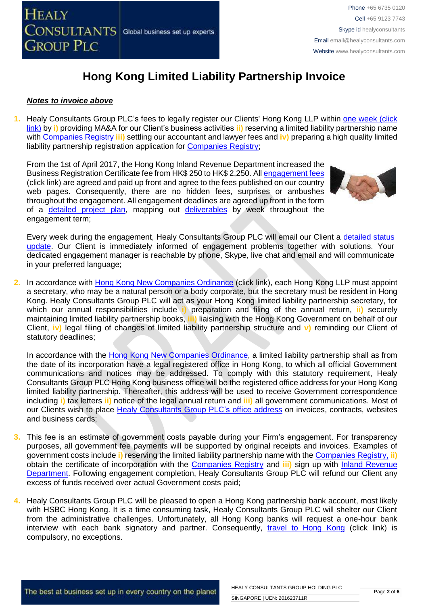

#### *Notes to invoice above*

**1.** Healy Consultants Group PLC's fees to legally register our Clients' Hong Kong LLP within [one week \(click](http://www.healyconsultants.com/hong-kong-company-registration/incorporation-steps/)  [link\)](http://www.healyconsultants.com/hong-kong-company-registration/incorporation-steps/) by **i)** providing MA&A for our Client's business activities **ii)** reserving a limited liability partnership name with [Companies Registry](http://www.cr.gov.hk/en/public/services.htm) **iii)** settling our accountant and lawyer fees and **iv)** preparing a high quality limited liability partnership registration application for Companies Registry:

From the 1st of April 2017, the Hong Kong Inland Revenue Department increased the Business Registration Certificate fee from HK\$ 250 to HK\$ 2,250. Al[l engagement fees](http://www.healyconsultants.com/company-registration-fees/) (click link) are agreed and paid up front and agree to the fees published on our country web pages. Consequently, there are no hidden fees, surprises or ambushes throughout the engagement. All engagement deadlines are agreed up front in the form of a [detailed project plan,](http://www.healyconsultants.com/index-important-links/example-project-plan/) mapping out [deliverables](http://www.healyconsultants.com/deliverables-to-our-clients/) by week throughout the engagement term;



Every week during the engagement, Healy Consultants Group PLC will email our Client a [detailed status](http://www.healyconsultants.com/index-important-links/weekly-engagement-status-email/)  [update.](http://www.healyconsultants.com/index-important-links/weekly-engagement-status-email/) Our Client is immediately informed of engagement problems together with solutions. Your dedicated engagement manager is reachable by phone, Skype, live chat and email and will communicate in your preferred language;

**2.** In accordance with [Hong Kong New Companies Ordinance](http://www.cr.gov.hk/en/companies_ordinance/docs/NewCO_C622_HL_FullVersion-e.pdf) (click link), each Hong Kong LLP must appoint a secretary, who may be a natural person or a body corporate, but the secretary must be resident in Hong Kong. Healy Consultants Group PLC will act as your Hong Kong limited liability partnership secretary, for which our annual responsibilities include **i)** preparation and filing of the annual return, **ii)** securely maintaining limited liability partnership books, **iii)** liaising with the Hong Kong Government on behalf of our Client, **iv)** legal filing of changes of limited liability partnership structure and **v)** reminding our Client of statutory deadlines;

In accordance with the [Hong Kong New Companies Ordinance,](http://www.cr.gov.hk/en/companies_ordinance/docs/NewCO_C622_HL_FullVersion-e.pdf) a limited liability partnership shall as from the date of its incorporation have a legal registered office in Hong Kong, to which all official Government communications and notices may be addressed. To comply with this statutory requirement, Healy Consultants Group PLC Hong Kong business office will be the registered office address for your Hong Kong limited liability partnership. Thereafter, this address will be used to receive Government correspondence including **i)** tax letters **ii)** notice of the legal annual return and **iii)** all government communications. Most of our Clients wish to place [Healy Consultants Group PLC's](http://www.healyconsultants.com/corporate-outsourcing-services/company-secretary-and-legal-registered-office/) office address on invoices, contracts, websites and business cards;

- **3.** This fee is an estimate of government costs payable during your Firm's engagement. For transparency purposes, all government fee payments will be supported by original receipts and invoices. Examples of government costs include **i)** reserving the limited liability partnership name with th[e Companies Registry,](http://www.cr.gov.hk/en/public/services.htm) **ii)** obtain the certificate of incorporation with the [Companies Registry](http://www.cr.gov.hk/en/public/services.htm) and **iii)** sign up with [Inland Revenue](http://www.ird.gov.hk/eng/welcome.htm)  [Department.](http://www.ird.gov.hk/eng/welcome.htm) Following engagement completion, Healy Consultants Group PLC will refund our Client any excess of funds received over actual Government costs paid;
- **4.** Healy Consultants Group PLC will be pleased to open a Hong Kong partnership bank account, most likely with HSBC Hong Kong. It is a time consuming task, Healy Consultants Group PLC will shelter our Client from the administrative challenges. Unfortunately, all Hong Kong banks will request a one-hour bank interview with each bank signatory and partner. Consequently, [travel to Hong Kong](http://www.healyconsultants.com/hong-kong-company-registration/concierge-services/) (click link) is compulsory, no exceptions.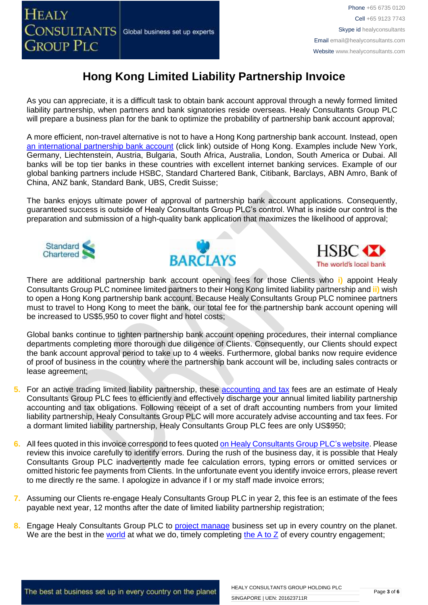

As you can appreciate, it is a difficult task to obtain bank account approval through a newly formed limited liability partnership, when partners and bank signatories reside overseas. Healy Consultants Group PLC will prepare a business plan for the bank to optimize the probability of partnership bank account approval;

A more efficient, non-travel alternative is not to have a Hong Kong partnership bank account. Instead, open [an international partnership](http://www.healyconsultants.com/international-banking/) bank account (click link) outside of Hong Kong. Examples include New York, Germany, Liechtenstein, Austria, Bulgaria, South Africa, Australia, London, South America or Dubai. All banks will be top tier banks in these countries with excellent internet banking services. Example of our global banking partners include HSBC, Standard Chartered Bank, Citibank, Barclays, ABN Amro, Bank of China, ANZ bank, Standard Bank, UBS, Credit Suisse;

The banks enjoys ultimate power of approval of partnership bank account applications. Consequently, guaranteed success is outside of Healy Consultants Group PLC's control. What is inside our control is the preparation and submission of a high-quality bank application that maximizes the likelihood of approval;







There are additional partnership bank account opening fees for those Clients who **i)** appoint Healy Consultants Group PLC nominee limited partners to their Hong Kong limited liability partnership and **ii)** wish to open a Hong Kong partnership bank account. Because Healy Consultants Group PLC nominee partners must to travel to Hong Kong to meet the bank, our total fee for the partnership bank account opening will be increased to US\$5,950 to cover flight and hotel costs;

Global banks continue to tighten partnership bank account opening procedures, their internal compliance departments completing more thorough due diligence of Clients. Consequently, our Clients should expect the bank account approval period to take up to 4 weeks. Furthermore, global banks now require evidence of proof of business in the country where the partnership bank account will be, including sales contracts or lease agreement;

- **5.** For an active trading limited liability partnership, these [accounting](http://www.healyconsultants.com/hong-kong-company-registration/accounting-legal/) and tax fees are an estimate of Healy Consultants Group PLC fees to efficiently and effectively discharge your annual limited liability partnership accounting and tax obligations. Following receipt of a set of draft accounting numbers from your limited liability partnership, Healy Consultants Group PLC will more accurately advise accounting and tax fees. For a dormant limited liability partnership, Healy Consultants Group PLC fees are only US\$950;
- **6.** All fees quoted in this invoice correspond to fees quoted [on Healy Consultants Group PLC's website.](http://www.healyconsultants.com/company-registration-fees/) Please review this invoice carefully to identify errors. During the rush of the business day, it is possible that Healy Consultants Group PLC inadvertently made fee calculation errors, typing errors or omitted services or omitted historic fee payments from Clients. In the unfortunate event you identify invoice errors, please revert to me directly re the same. I apologize in advance if I or my staff made invoice errors;
- **7.** Assuming our Clients re-engage Healy Consultants Group PLC in year 2, this fee is an estimate of the fees payable next year, 12 months after the date of limited liability partnership registration;
- **8.** Engage Healy Consultants Group PLC to [project manage](http://www.healyconsultants.com/project-manage-engagements/) business set up in every country on the planet. We are the best in the [world](http://www.healyconsultants.com/best-in-the-world/) at what we do, timely completing the  $A$  to  $Z$  of every country engagement;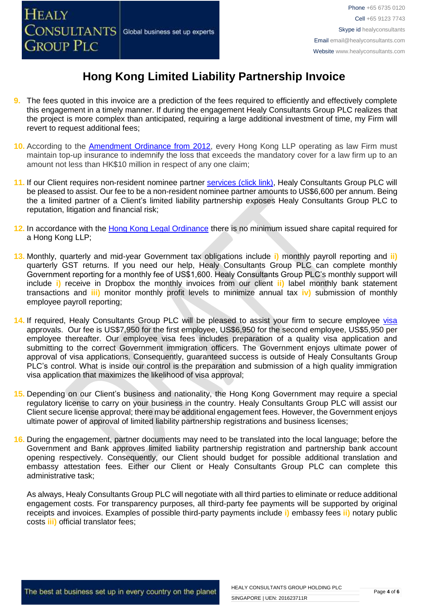- **9.** The fees quoted in this invoice are a prediction of the fees required to efficiently and effectively complete this engagement in a timely manner. If during the engagement Healy Consultants Group PLC realizes that the project is more complex than anticipated, requiring a large additional investment of time, my Firm will revert to request additional fees;
- **10.** According to the [Amendment Ordinance from 2012,](https://www.doj.gov.hk/eng/public/pdf/2016/LLP_Ordinance_e.pdf) every Hong Kong LLP operating as law Firm must maintain top-up insurance to indemnify the loss that exceeds the mandatory cover for a law firm up to an amount not less than HK\$10 million in respect of any one claim;
- 11. If our Client requires non-resident nominee partner services [\(click link\),](http://www.healyconsultants.com/corporate-outsourcing-services/nominee-shareholders-directors/) Healy Consultants Group PLC will be pleased to assist. Our fee to be a non-resident nominee partner amounts to US\$6,600 per annum. Being the a limited partner of a Client's limited liability partnership exposes Healy Consultants Group PLC to reputation, litigation and financial risk;
- **12.** In accordance with the [Hong Kong Legal](https://www.doj.gov.hk/eng/public/pdf/2016/LLP_Ordinance_e.pdf) Ordinance there is no minimum issued share capital required for a Hong Kong LLP;
- **13.** Monthly, quarterly and mid-year Government tax obligations include **i)** monthly payroll reporting and **ii)** quarterly GST returns. If you need our help, Healy Consultants Group PLC can complete monthly Government reporting for a monthly fee of US\$1,600. Healy Consultants Group PLC's monthly support will include **i)** receive in Dropbox the monthly invoices from our client **ii)** label monthly bank statement transactions and **iii)** monitor monthly profit levels to minimize annual tax **iv)** submission of monthly employee payroll reporting;
- 14. If required, Healy Consultants Group PLC will be pleased to assist your firm to secure employee [visa](http://www.healyconsultants.com/hong-kong-company-registration/formation-support-services/) approvals. Our fee is US\$7,950 for the first employee, US\$6,950 for the second employee, US\$5,950 per employee thereafter. Our employee visa fees includes preparation of a quality visa application and submitting to the correct Government immigration officers. The Government enjoys ultimate power of approval of visa applications. Consequently, guaranteed success is outside of Healy Consultants Group PLC's control. What is inside our control is the preparation and submission of a high quality immigration visa application that maximizes the likelihood of visa approval;
- **15.** Depending on our Client's business and nationality, the Hong Kong Government may require a special regulatory license to carry on your business in the country. Healy Consultants Group PLC will assist our Client secure license approval; there may be additional engagement fees. However, the Government enjoys ultimate power of approval of limited liability partnership registrations and business licenses;
- **16.** During the engagement, partner documents may need to be translated into the local language; before the Government and Bank approves limited liability partnership registration and partnership bank account opening respectively. Consequently, our Client should budget for possible additional translation and embassy attestation fees. Either our Client or Healy Consultants Group PLC can complete this administrative task;

As always, Healy Consultants Group PLC will negotiate with all third parties to eliminate or reduce additional engagement costs. For transparency purposes, all third-party fee payments will be supported by original receipts and invoices. Examples of possible third-party payments include **i)** embassy fees **ii)** notary public costs **iii)** official translator fees;

The best at business set up in every country on the planet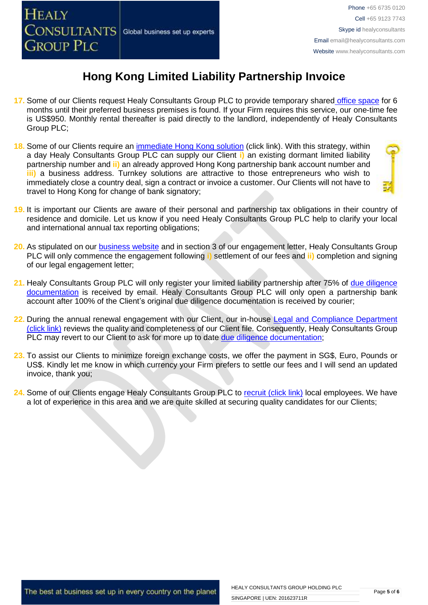

- **17.** Some of our Clients request Healy Consultants Group PLC to provide temporary shared [office space](http://www.healyconsultants.com/virtual-office/) for 6 months until their preferred business premises is found. If your Firm requires this service, our one-time fee is US\$950. Monthly rental thereafter is paid directly to the landlord, independently of Healy Consultants Group PLC;
- **18.** Some of our Clients require an [immediate Hong Kong solution](http://www.healyconsultants.com/hong-kong-company-registration/turnkey-solutions/) (click link). With this strategy, within a day Healy Consultants Group PLC can supply our Client **i)** an existing dormant limited liability partnership number and **ii)** an already approved Hong Kong partnership bank account number and **iii)** a business address. Turnkey solutions are attractive to those entrepreneurs who wish to immediately close a country deal, sign a contract or invoice a customer. Our Clients will not have to travel to Hong Kong for change of bank signatory;



- **19.** It is important our Clients are aware of their personal and partnership tax obligations in their country of residence and domicile. Let us know if you need Healy Consultants Group PLC help to clarify your local and international annual tax reporting obligations;
- **20.** As stipulated on our **business website** and in section 3 of our engagement letter, Healy Consultants Group PLC will only commence the engagement following **i)** settlement of our fees and **ii)** completion and signing of our legal engagement letter;
- 21. Healy Consultants Group PLC will only register your limited liability partnership after 75% of due diligence [documentation](http://www.healyconsultants.com/due-diligence/) is received by email. Healy Consultants Group PLC will only open a partnership bank account after 100% of the Client's original due diligence documentation is received by courier;
- 22. During the annual renewal engagement with our Client, our in-house Legal and Compliance Department [\(click link\)](http://www.healyconsultants.com/about-us/key-personnel/cai-xin-profile/) reviews the quality and completeness of our Client file. Consequently, Healy Consultants Group PLC may revert to our Client to ask for more up to date [due diligence documentation;](http://www.healyconsultants.com/due-diligence/)
- **23.** To assist our Clients to minimize foreign exchange costs, we offer the payment in SG\$, Euro, Pounds or US\$. Kindly let me know in which currency your Firm prefers to settle our fees and I will send an updated invoice, thank you;
- 24. Some of our Clients engage Healy Consultants Group PLC to [recruit \(click link\)](http://www.healyconsultants.com/corporate-outsourcing-services/how-we-help-our-clients-recruit-quality-employees/) local employees. We have a lot of experience in this area and we are quite skilled at securing quality candidates for our Clients;